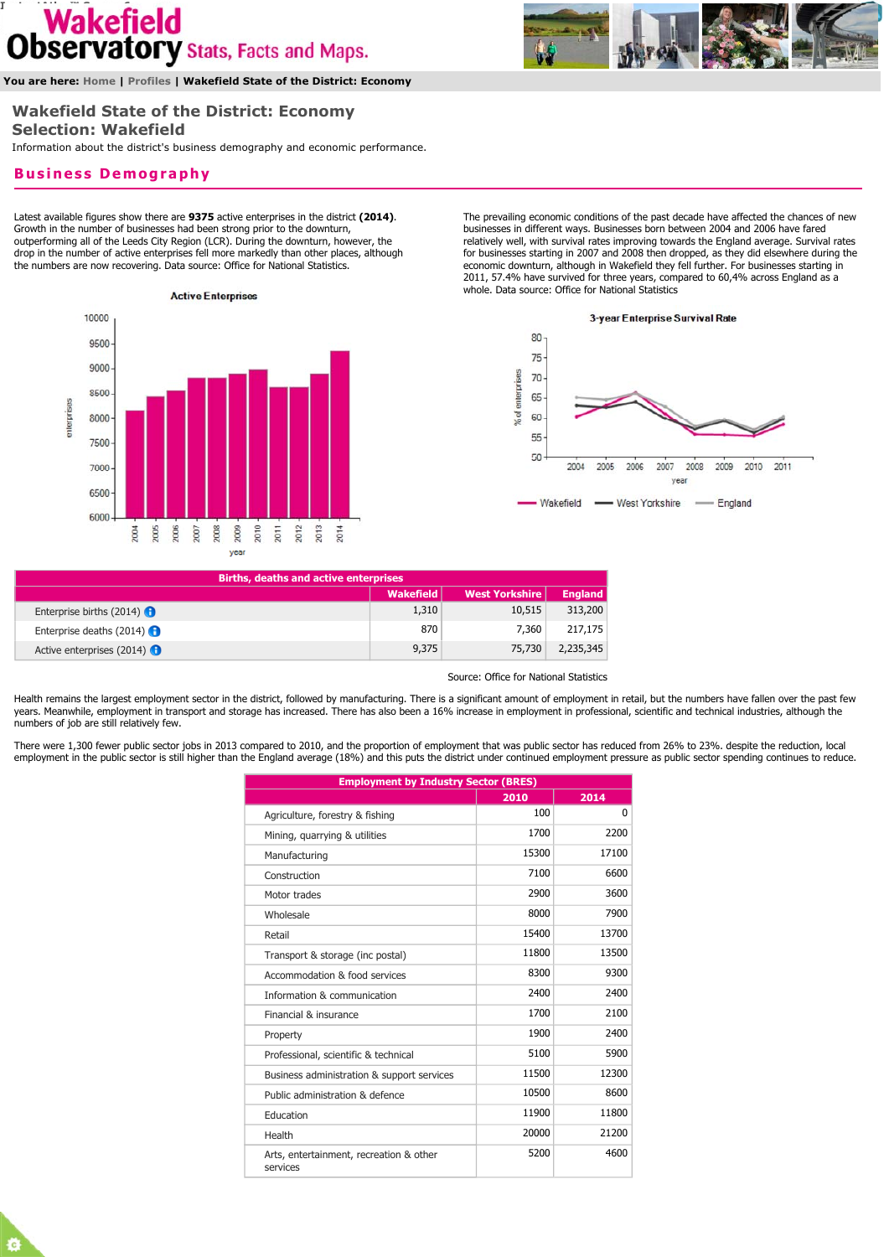# **Wakefield Observatory** Stats, Facts and Maps.

**You are here: Home | Profiles | Wakefield State of the District: Economy** 

# **Wakefield State of the District: Economy Selection: Wakefield**

Information about the district's business demography and economic performance.

## **Business Demography**

Latest available figures show there are **9375** active enterprises in the district **(2014)**. Growth in the number of businesses had been strong prior to the downturn, outperforming all of the Leeds City Region (LCR). During the downturn, however, the drop in the number of active enterprises fell more markedly than other places, although the numbers are now recovering. Data source: Office for National Statistics.



The prevailing economic conditions of the past decade have affected the chances of new businesses in different ways. Businesses born between 2004 and 2006 have fared relatively well, with survival rates improving towards the England average. Survival rates for businesses starting in 2007 and 2008 then dropped, as they did elsewhere during the economic downturn, although in Wakefield they fell further. For businesses starting in 2011, 57.4% have survived for three years, compared to 60,4% across England as a whole. Data source: Office for National Statistics



| <b>Births, deaths and active enterprises</b> |                  |                       |                |  |  |  |  |
|----------------------------------------------|------------------|-----------------------|----------------|--|--|--|--|
|                                              | <b>Wakefield</b> | <b>West Yorkshire</b> | <b>England</b> |  |  |  |  |
| Enterprise births (2014) $\bigodot$          | 1,310            | 10,515                | 313,200        |  |  |  |  |
| Enterprise deaths (2014) $\bigodot$          | 870              | 7,360                 | 217,175        |  |  |  |  |
| Active enterprises (2014) $\bullet$          | 9,375            | 75,730                | 2,235,345      |  |  |  |  |

Source: Office for National Statistics

Health remains the largest employment sector in the district, followed by manufacturing. There is a significant amount of employment in retail, but the numbers have fallen over the past few years. Meanwhile, employment in transport and storage has increased. There has also been a 16% increase in employment in professional, scientific and technical industries, although the numbers of job are still relatively few.

There were 1,300 fewer public sector jobs in 2013 compared to 2010, and the proportion of employment that was public sector has reduced from 26% to 23%. despite the reduction, local employment in the public sector is still higher than the England average (18%) and this puts the district under continued employment pressure as public sector spending continues to reduce.

| <b>Employment by Industry Sector (BRES)</b>         |       |          |  |  |  |  |
|-----------------------------------------------------|-------|----------|--|--|--|--|
|                                                     | 2010  | 2014     |  |  |  |  |
| Agriculture, forestry & fishing                     | 100   | $\Omega$ |  |  |  |  |
| Mining, quarrying & utilities                       | 1700  | 2200     |  |  |  |  |
| Manufacturing                                       | 15300 | 17100    |  |  |  |  |
| Construction                                        | 7100  | 6600     |  |  |  |  |
| Motor trades                                        | 2900  | 3600     |  |  |  |  |
| Wholesale                                           | 8000  | 7900     |  |  |  |  |
| Retail                                              | 15400 | 13700    |  |  |  |  |
| Transport & storage (inc postal)                    | 11800 | 13500    |  |  |  |  |
| Accommodation & food services                       | 8300  | 9300     |  |  |  |  |
| Information & communication                         | 2400  | 2400     |  |  |  |  |
| Financial & insurance                               | 1700  | 2100     |  |  |  |  |
| Property                                            | 1900  | 2400     |  |  |  |  |
| Professional, scientific & technical                | 5100  | 5900     |  |  |  |  |
| Business administration & support services          | 11500 | 12300    |  |  |  |  |
| Public administration & defence                     | 10500 | 8600     |  |  |  |  |
| Education                                           | 11900 | 11800    |  |  |  |  |
| Health                                              | 20000 | 21200    |  |  |  |  |
| Arts, entertainment, recreation & other<br>services | 5200  | 4600     |  |  |  |  |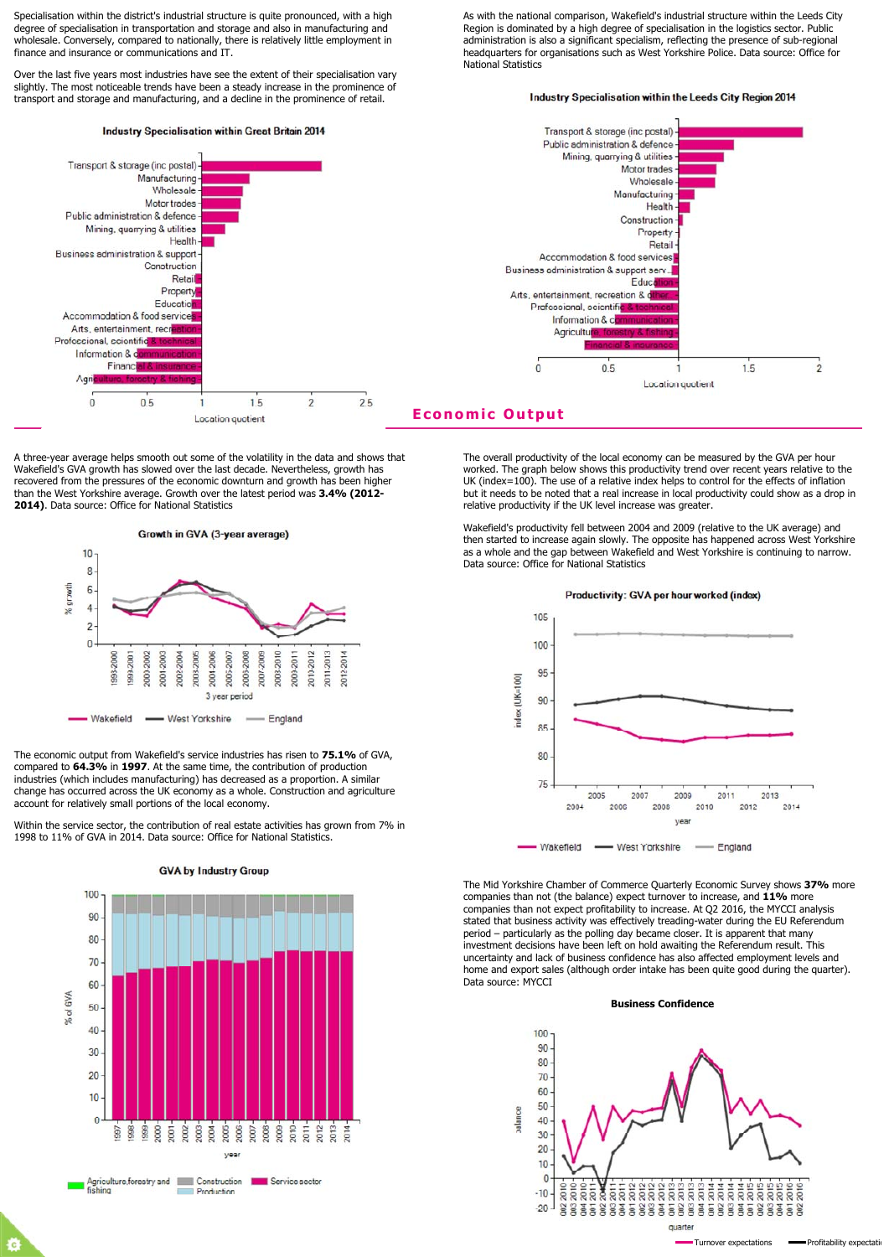Specialisation within the district's industrial structure is quite pronounced, with a high degree of specialisation in transportation and storage and also in manufacturing and wholesale. Conversely, compared to nationally, there is relatively little employment in finance and insurance or communications and IT.

Over the last five years most industries have see the extent of their specialisation vary slightly. The most noticeable trends have been a steady increase in the prominence of transport and storage and manufacturing, and a decline in the prominence of retail.

## **Industry Specialisation within Great Britain 2014**



A three-year average helps smooth out some of the volatility in the data and shows that Wakefield's GVA growth has slowed over the last decade. Nevertheless, growth has recovered from the pressures of the economic downturn and growth has been higher than the West Yorkshire average. Growth over the latest period was **3.4% (2012- 2014)**. Data source: Office for National Statistics



The economic output from Wakefield's service industries has risen to **75.1%** of GVA, compared to **64.3%** in **1997**. At the same time, the contribution of production industries (which includes manufacturing) has decreased as a proportion. A similar change has occurred across the UK economy as a whole. Construction and agriculture account for relatively small portions of the local economy.

Within the service sector, the contribution of real estate activities has grown from 7% in 1998 to 11% of GVA in 2014. Data source: Office for National Statistics.



**GVA by Industry Group** 

As with the national comparison, Wakefield's industrial structure within the Leeds City Region is dominated by a high degree of specialisation in the logistics sector. Public administration is also a significant specialism, reflecting the presence of sub-regional headquarters for organisations such as West Yorkshire Police. Data source: Office for National Statistics

#### Industry Specialisation within the Leeds City Region 2014



## **Economic Output**

The overall productivity of the local economy can be measured by the GVA per hour worked. The graph below shows this productivity trend over recent years relative to the UK (index=100). The use of a relative index helps to control for the effects of inflation but it needs to be noted that a real increase in local productivity could show as a drop in relative productivity if the UK level increase was greater.

Wakefield's productivity fell between 2004 and 2009 (relative to the UK average) and then started to increase again slowly. The opposite has happened across West Yorkshire as a whole and the gap between Wakefield and West Yorkshire is continuing to narrow. Data source: Office for National Statistics



The Mid Yorkshire Chamber of Commerce Quarterly Economic Survey shows **37%** more companies than not (the balance) expect turnover to increase, and **11%** more companies than not expect profitability to increase. At Q2 2016, the MYCCI analysis stated that business activity was effectively treading-water during the EU Referendum period – particularly as the polling day became closer. It is apparent that many investment decisions have been left on hold awaiting the Referendum result. This uncertainty and lack of business confidence has also affected employment levels and home and export sales (although order intake has been quite good during the quarter). Data source: MYCCI

## **Business Confidence**